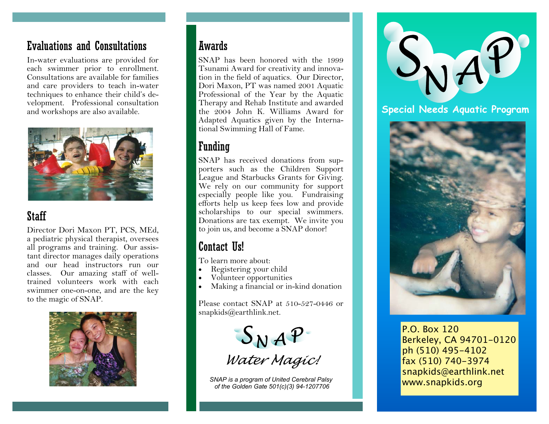## **Evaluations and Consultations**

In-water evaluations are provided for each swimmer prior to enrollment. Consultations are available for families and care providers to teach in-water techniques to enhance their child's development. Professional consultation and workshops are also available.



#### **Staff**

Director Dori Maxon PT, PCS, MEd, a pediatric physical therapist, oversees all programs and training. Our assistant director manages daily operations and our head instructors run our classes. Our amazing staff of welltrained volunteers work with each swimmer one-on-one, and are the key to the magic of SNAP.



#### **Awards**

SNAP has been honored with the 1999 Tsunami Award for creativity and innovation in the field of aquatics. Our Director, Dori Maxon, PT was named 2001 Aquatic Professional of the Year by the Aquatic Therapy and Rehab Institute and awarded the 2004 John K. Williams Award for Adapted Aquatics given by the International Swimming Hall of Fame.

## **Funding**

SNAP has received donations from supporters such as the Children Support League and Starbucks Grants for Giving. We rely on our community for support especially people like you. Fundraising efforts help us keep fees low and provide scholarships to our special swimmers. Donations are tax exempt. We invite you to join us, and become a SNAP donor!

# **Contact IIs!**

To learn more about:

- Registering your child
- Volunteer opportunities
- Making a financial or in-kind donation

Please contact SNAP at 510-527-0446 or  $snapkids@earthlink.net.$ 

 $S_N$   $AP$ <br>Water Magic!

SNAP is a program of United Cerebral Palsy of the Golden Gate 501(c)(3) 94-1207706



#### Special Needs Aguatic Program



P.O. Box 120 Berkeley, CA 94701-0120 ph (510) 495-4102 fax (510) 740-3974 snapkids@earthlink.net www.snapkids.org